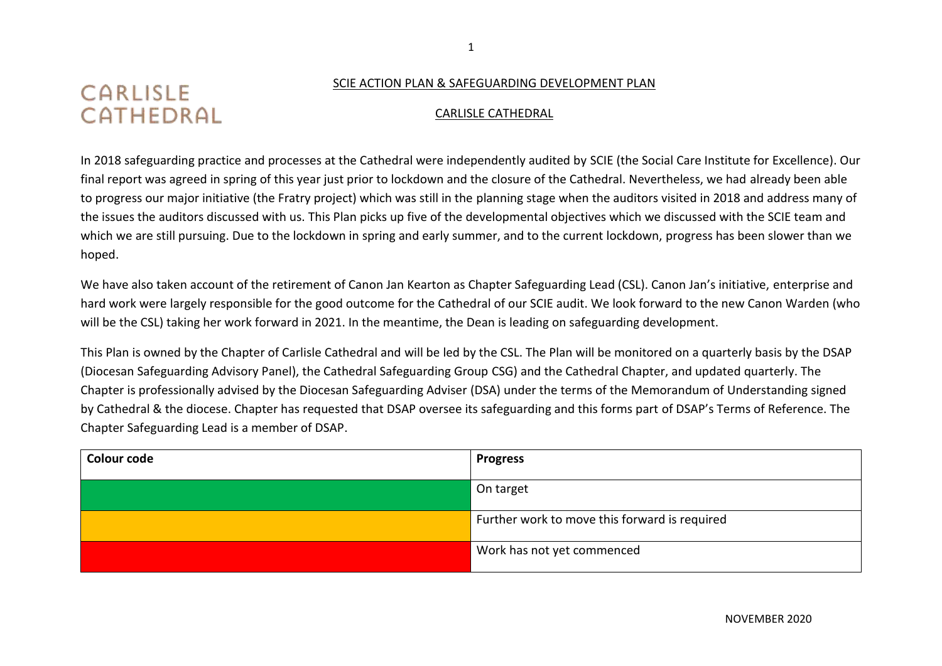## CARLISLE CATHEDRAL

## SCIE ACTION PLAN & SAFEGUARDING DEVELOPMENT PLAN

## CARLISLE CATHEDRAL

In 2018 safeguarding practice and processes at the Cathedral were independently audited by SCIE (the Social Care Institute for Excellence). Our final report was agreed in spring of this year just prior to lockdown and the closure of the Cathedral. Nevertheless, we had already been able to progress our major initiative (the Fratry project) which was still in the planning stage when the auditors visited in 2018 and address many of the issues the auditors discussed with us. This Plan picks up five of the developmental objectives which we discussed with the SCIE team and which we are still pursuing. Due to the lockdown in spring and early summer, and to the current lockdown, progress has been slower than we hoped.

We have also taken account of the retirement of Canon Jan Kearton as Chapter Safeguarding Lead (CSL). Canon Jan's initiative, enterprise and hard work were largely responsible for the good outcome for the Cathedral of our SCIE audit. We look forward to the new Canon Warden (who will be the CSL) taking her work forward in 2021. In the meantime, the Dean is leading on safeguarding development.

This Plan is owned by the Chapter of Carlisle Cathedral and will be led by the CSL. The Plan will be monitored on a quarterly basis by the DSAP (Diocesan Safeguarding Advisory Panel), the Cathedral Safeguarding Group CSG) and the Cathedral Chapter, and updated quarterly. The Chapter is professionally advised by the Diocesan Safeguarding Adviser (DSA) under the terms of the Memorandum of Understanding signed by Cathedral & the diocese. Chapter has requested that DSAP oversee its safeguarding and this forms part of DSAP's Terms of Reference. The Chapter Safeguarding Lead is a member of DSAP.

| Colour code | <b>Progress</b>                               |
|-------------|-----------------------------------------------|
|             | On target                                     |
|             | Further work to move this forward is required |
|             | Work has not yet commenced                    |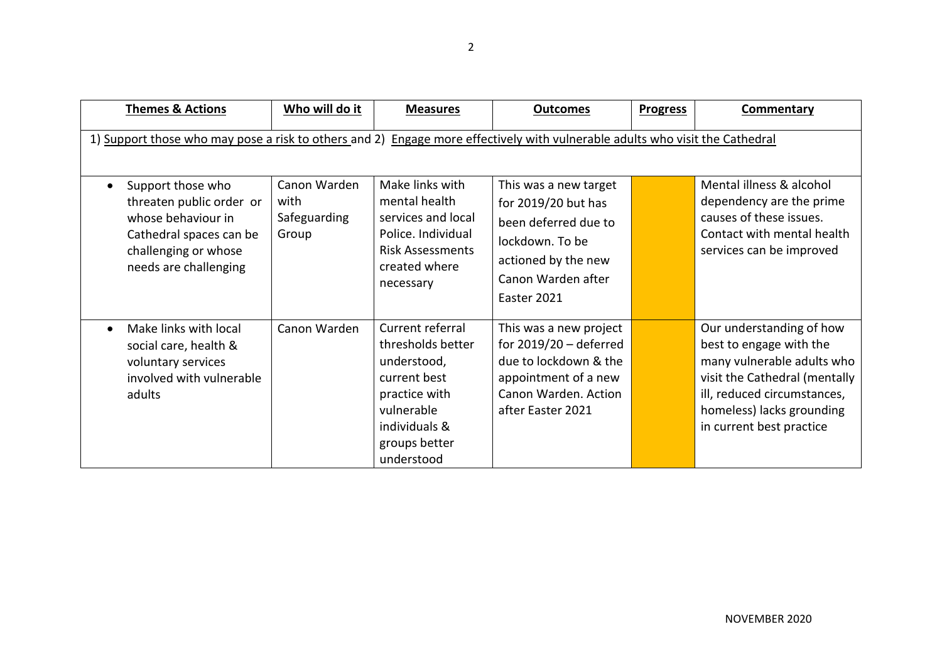| <b>Themes &amp; Actions</b>                                                                                                                     | Who will do it                                | <b>Measures</b>                                                                                                                                     | <b>Outcomes</b>                                                                                                                                     | <b>Progress</b> | Commentary                                                                                                                                                                                                 |
|-------------------------------------------------------------------------------------------------------------------------------------------------|-----------------------------------------------|-----------------------------------------------------------------------------------------------------------------------------------------------------|-----------------------------------------------------------------------------------------------------------------------------------------------------|-----------------|------------------------------------------------------------------------------------------------------------------------------------------------------------------------------------------------------------|
| 1) Support those who may pose a risk to others and 2) Engage more effectively with vulnerable adults who visit the Cathedral                    |                                               |                                                                                                                                                     |                                                                                                                                                     |                 |                                                                                                                                                                                                            |
| Support those who<br>threaten public order or<br>whose behaviour in<br>Cathedral spaces can be<br>challenging or whose<br>needs are challenging | Canon Warden<br>with<br>Safeguarding<br>Group | Make links with<br>mental health<br>services and local<br>Police. Individual<br><b>Risk Assessments</b><br>created where<br>necessary               | This was a new target<br>for 2019/20 but has<br>been deferred due to<br>lockdown. To be<br>actioned by the new<br>Canon Warden after<br>Easter 2021 |                 | Mental illness & alcohol<br>dependency are the prime<br>causes of these issues.<br>Contact with mental health<br>services can be improved                                                                  |
| Make links with local<br>social care, health &<br>voluntary services<br>involved with vulnerable<br>adults                                      | Canon Warden                                  | Current referral<br>thresholds better<br>understood,<br>current best<br>practice with<br>vulnerable<br>individuals &<br>groups better<br>understood | This was a new project<br>for $2019/20$ – deferred<br>due to lockdown & the<br>appointment of a new<br>Canon Warden. Action<br>after Easter 2021    |                 | Our understanding of how<br>best to engage with the<br>many vulnerable adults who<br>visit the Cathedral (mentally<br>ill, reduced circumstances,<br>homeless) lacks grounding<br>in current best practice |